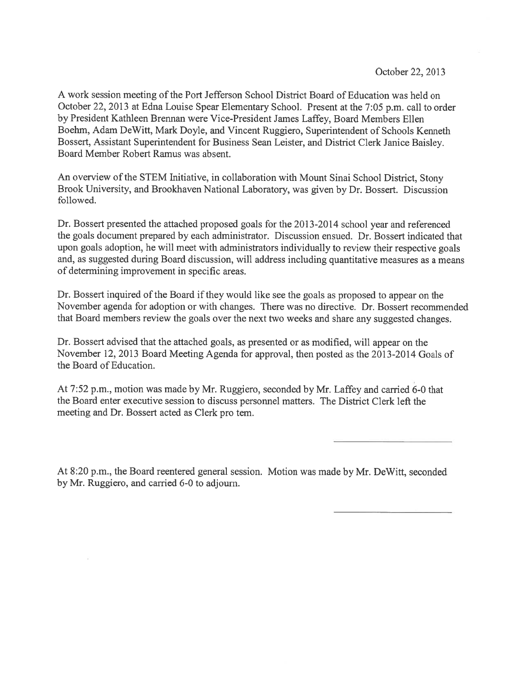A work session meeting of the Port Jefferson School District Board of Education was held on October 22, 2013 at Edna Louise Spear Elementary School. Present at the 7:05 p.m. call to order by President Kathleen Brennan were Vice-President James Laffey, Board Members Ellen Boehm, Adam DeWitt, Mark Doyle, and Vincent Ruggiero, Superintendent of Schools Kenneth Bossert, Assistant Superintendent for Business Sean Leister, and District Clerk Janice Baisley. Board Member Robert Ramus was absent.

An overview of the STEM Initiative, in collaboration with Mount Sinai School District, Stony Brook University, and Brookhaven National Laboratory, was <sup>g</sup>iven by Dr. Bossert. Discussion followed.

Dr. Bossert presented the attached proposed goals for the 2013-2014 school year and referenced the goals document prepared by each administrator. Discussion ensued. Dr. Bossert indicated that upon goals adoption, he will meet with administrators individually to review their respective goals and, as suggested during Board discussion, will address including quantitative measures as <sup>a</sup> means of determining improvement in specific areas.

Dr. Bossert inquired of the Board if they would like see the goals as proposed to appear on the November agenda for adoption or with changes. There was no directive. Dr. Bossert recommended that Board members review the goals over the next two weeks and share any suggested changes.

Dr. Bossert advised that the attached goals, as presented or as modified, will appear on the November 12, <sup>2013</sup> Board Meeting Agenda for approval, then posted as the 2013-2014 Goals of the Board of Education.

At 7:52 p.m., motion was made by Mr. Ruggiero, seconded by Mr. Laffey and carried 6-0 that the Board enter executive session to discuss personnel matters. The District Clerk left the meeting and Dr. Bossert acted as Clerk pro tem.

At 8:20 p.m., the Board reentered genera<sup>l</sup> session. Motion was made by Mr. DeWitt, seconded by Mr. Ruggiero, and carried 6-0 to adjourn.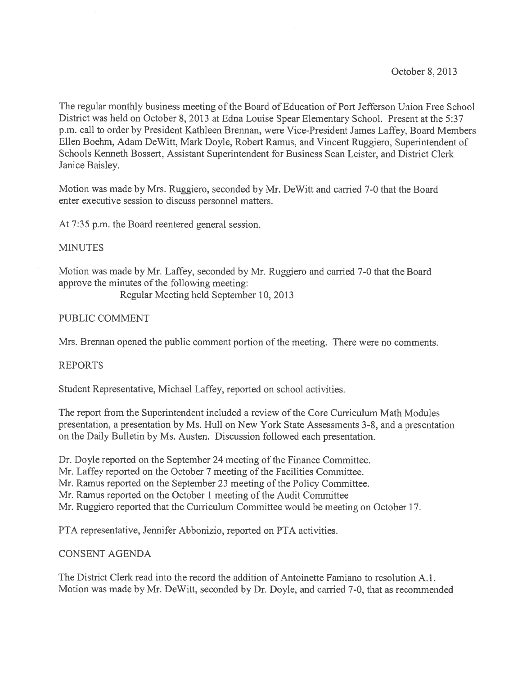The regular monthly business meeting of the Board of Education of Port Jefferson Union Free School District was held on October 8, 2013 at Edna Louise Spear Elementary School. Present at the 5:37 p.m. call to order by President Kathleen Brennan, were Vice-President James Laffey, Board Members Ellen Boehm, Adam DeWitt, Mark Doyle, Robert Ramus. and Vincent Ruggiero, Superintendent of Schools Kenneth Bossert, Assistant Superintendent for Business Sean Leister, and District Clerk Janice Baisley.

Motion was made by Mrs. Ruggiero, seconded by Mr. DeWitt and carried 7-0 that the Board enter executive session to discuss personnel matters.

At 7:35 p.m. the Board reentered general session.

### **MINUTES**

Motion was made by Mr. Laffey, seconded by Mr. Ruggiero and carried 7-0 that the Board approve the minutes of the following meeting:

Regular Meeting held September 10, 2013

### PUBLIC COMMENT

Mrs. Brennan opened the public comment portion of the meeting. There were no comments.

## REPORTS

Student Representative, Michael Laffey, reported on school activities.

The repor<sup>t</sup> from the Superintendent included <sup>a</sup> review of the Core Curriculum Math Modules presentation, <sup>a</sup> presentation by Ms. Hull on New York State Assessments 3-8, and <sup>a</sup> presentation on the Daily Bulletin by Ms. Austen. Discussion followed each presentation.

Dr. Doyle reported on the September 24 meeting of the Finance Committee. Mr. Laffey reported on the October 7 meeting of the Facilities Committee.

Mr. Ramus reported on the September 23 meeting of the Policy Committee.

Mr. Ramus reported on the October 1 meeting of the Audit Committee

Mr. Ruggiero reported that the Curriculum Committee would be meeting on October 17.

PTA representative, Jennifer Abbonizio, reported on PTA activities.

#### CONSENT AGENDA

The District Clerk read into the record the addition of Antoinette Famiano to resolution A.1. Motion was made by Mr. DeWitt, seconded by Dr. Doyle, and carried 7-0, that as recommended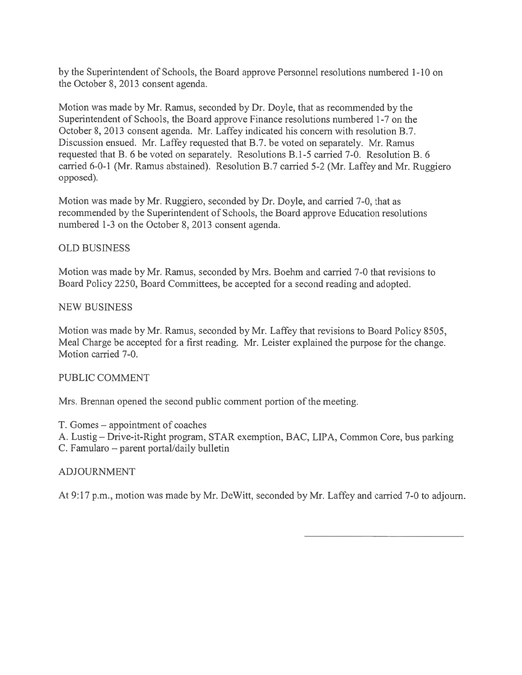by the Superintendent of Schools, the Board approve Personnel resolutions numbered 1-10 on the October 8, 2013 consent agenda.

Motion was made by Mr. Ramus, seconded by Dr. Doyle, that as recommended by the Superintendent of Schools, the Board approve Finance resolutions numbered 1-7 on the October 8, 2013 consent agenda. Mr. Laffey indicated his concern with resolution B.7. Discussion ensued. Mr. Laffey requested that B.7. be voted on separately. Mr. Ramus requested that B. 6 be voted on separately. Resolutions B. 1-5 carried 7-0. Resolution B. 6 carried 6-0-1 (Mr. Ramus abstained). Resolution B.7 carried 5-2 (Mr. Laffey and Mr. Ruggiero opposed).

Motion was made by Mr. Ruggiero, seconded by Dr. Doyle, and carried 7-0, that as recommended by the Superintendent of Schools, the Board approve Education resolutions numbered 1-3 on the October 8, 2013 consent agenda.

# OLD BUSINESS

Motion was made by Mr. Ramus, seconded by Mrs. Boehm and carried 7-0 that revisions to Board Policy 2250, Board Committees, be accepted for <sup>a</sup> second reading and adopted.

## NEW BUSINESS

Motion was made by Mr. Ramus, seconded by Mr. Laffey that revisions to Board Policy 8505, Meal Charge be accepted for <sup>a</sup> first reading. Mr. Leister explained the purpose for the change. Motion carried 7-0.

## PUBLIC COMMENT

Mrs. Brennan opened the second public comment portion of the meeting.

T. Gomes – appointment of coaches

A. Lustig — Drive-it-Right program, STAR exemption, BAC, LIPA, Common Core, bus parking

C. Famularo — paren<sup>t</sup> portal/daily bulletin

## ADJOURNMENT

At 9:17 p.m., motion was made by Mr. DeWitt, seconded by Mr. Laffey and carried 7-0 to adjourn.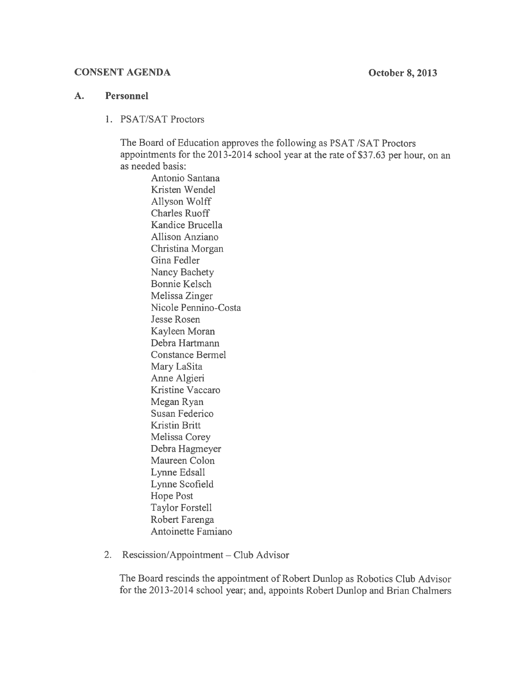#### CONSENT AGENDA October 8, 2013

## A. Personnel

1. PSAT/SAT Proctors

The Board of Education approves the following as PSAT /SAT Proctors appointments for the 2013-2014 school year at the rate of \$37.63 per hour, on an as needed basis:

Antonio Santana Kristen Wendel Allyson Wolff Charles Ruoff Kandice Brucella Allison Anziano Christina Morgan Gina Fedler Nancy Bachety Bonnie Kelsch Melissa Zinger Nicole Pennino-Costa Jesse Rosen Kayleen Moran Debra Hartrnann Constance Bermel Mary LaSita Anne Algieri Kristine Vaccaro Megan Ryan Susan Federico Kristin Britt Melissa Corey Debra Hagmeyer Maureen Colon Lynne Edsall Lynne Scofield Hope Post Taylor Forstell Robert Farenga Antoinette Famiano

2. Rescission/Appointment — Club Advisor

The Board rescinds the appointment of Robert Dunlop as Robotics Club Advisor for the 2013-2014 school year; and, appoints Robert Dunlop and Brian Chalmers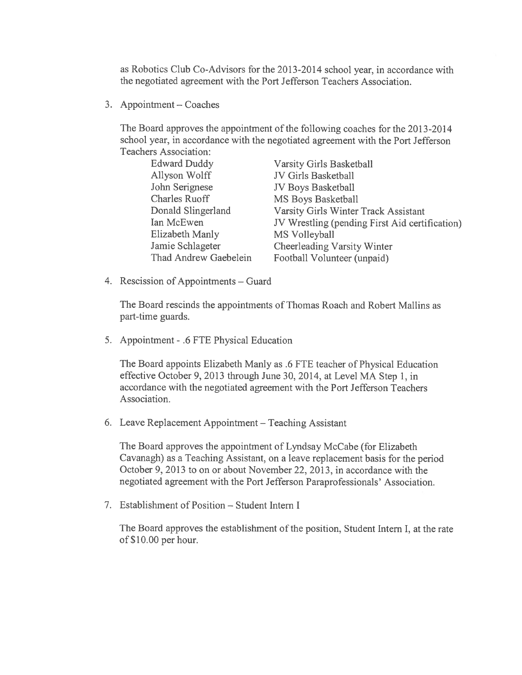as Robotics Club Co-Advisors for the 2013-2014 school year, in accordance with the negotiated agreemen<sup>t</sup> with the Port Jefferson Teachers Association.

3. Appointment — Coaches

The Board approves the appointment of the following coaches for the 2013-2014 school year, in accordance with the negotiated agreemen<sup>t</sup> with the Port Jefferson Teachers Association:

| <b>Edward Duddy</b>   | <b>Varsity Girls Basketball</b>                |
|-----------------------|------------------------------------------------|
| Allyson Wolff         | JV Girls Basketball                            |
| John Serignese        | JV Boys Basketball                             |
| <b>Charles Ruoff</b>  | MS Boys Basketball                             |
| Donald Slingerland    | Varsity Girls Winter Track Assistant           |
| Ian McEwen            | JV Wrestling (pending First Aid certification) |
| Elizabeth Manly       | MS Volleyball                                  |
| Jamie Schlageter      | Cheerleading Varsity Winter                    |
| Thad Andrew Gaebelein | Football Volunteer (unpaid)                    |
|                       |                                                |

4. Rescission of Appointments — Guard

The Board rescinds the appointments of Thomas Roach and Robert Mallins as part-time guards.

5. Appointment - .6 FTE Physical Education

The Board appoints Elizabeth Manly as .6 FTE teacher of Physical Education effective October 9, <sup>2013</sup> through June 30, 2014, at Level MA Step 1, in accordance with the negotiated agreemen<sup>t</sup> with the Port Jefferson Teachers Association.

6. Leave Replacement Appointment — Teaching Assistant

The Board approves the appointment of Lyndsay McCabe (for Elizabeth Cavanagh) as <sup>a</sup> Teaching Assistant, on <sup>a</sup> leave replacement basis for the period October 9.2013 to on or about November 22, 2013, in accordance with the negotiated agreemen<sup>t</sup> with the Port Jefferson Paraprofessionals' Association.

7. Establishment of Position — Student Intern I

The Board approves the establishment of the position, Student Intern I, at the rate of \$10.00 per hour.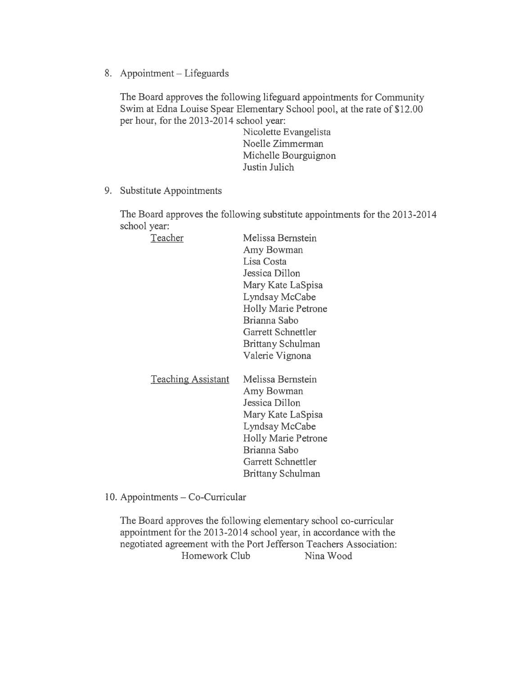8. Appointment — Lifeguards

The Board approves the following lifeguard appointments for Community Swim at Edna Louise Spear Elementary School pool, at the rate of S12.00 per hour, for the 2013-2014 school year:

> Nicolette Evangelista Noelle Zimmerman Michelle Bourguignon Justin Julich

9. Substitute Appointments

The Board approves the following substitute appointments for the 2013-2014 school year:

| Teacher                   | Melissa Bernstein          |
|---------------------------|----------------------------|
|                           | Amy Bowman                 |
|                           | Lisa Costa                 |
|                           | Jessica Dillon             |
|                           | Mary Kate LaSpisa          |
|                           | Lyndsay McCabe             |
|                           | <b>Holly Marie Petrone</b> |
|                           | Brianna Sabo               |
|                           | Garrett Schnettler         |
|                           | Brittany Schulman          |
|                           | Valerie Vignona            |
|                           |                            |
| <b>Teaching Assistant</b> | Melissa Bernstein          |
|                           | Amy Bowman                 |
|                           | Jessica Dillon             |
|                           |                            |

Mary Kate LaSpisa Lyndsay McCabe Holly Marie Petrone Brianna Sabo Garrett Schnettler Brittany Schulman

10. Appointments — Co-Curricular

The Board approves the following elementary school co-curricular appointment for the 2013-2014 school year, in accordance with the negotiated agreemen<sup>t</sup> with the Port Jefferson Teachers Association: Homework Club Nina Wood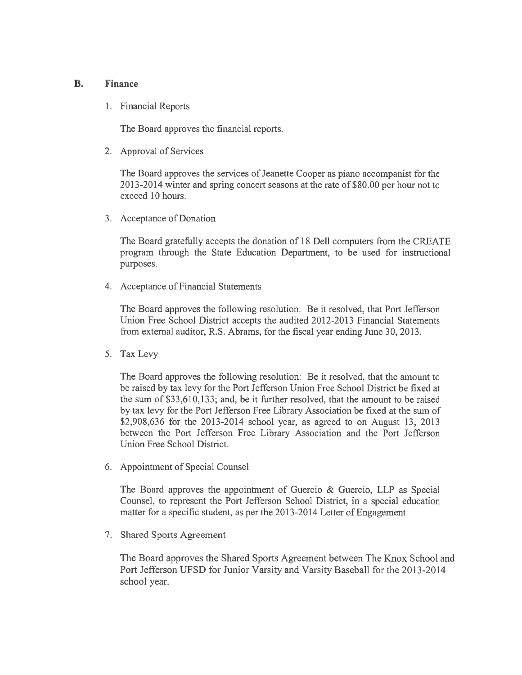### B. Finance

1. Financial Reports

The Board approves the financial reports.

2. Approval of Services

The Board approves the services of Jeanette Cooper as piano accompanist for the 2013-2014 winter and spring concert seasons at the rate of \$80.00 per hour not to exceed 10 hours.

3. Acceptance of Donation

The Board gratefully accepts the donation of 18 Dell computers from the CREATE program through the State Education Department, to be used for instructional purposes.

4. Acceptance of Financial Statements

The Board approves the following resolution: Be it resolved, that Port Jefferson Union Free School District accepts the audited 2012-2013 Financial Statements from external auditor, R.S. Abrams, for the fiscal year ending June 30, 2013.

5. Tax Levy

The Board approves the following resolution: Be it resolved, that the amount to be raised by tax levy for the Port Jefferson Union Free School District be fixed at the sum of \$33,610,133; and, be it further resolved, that the amount to be raised by tax levy for the Port Jefferson Free Library Association be fixed at the sum of \$2,908,636 for the 2013-2014 school year, as agreed to on August 13, 2013 between the Port Jefferson Free Library Association and the Port Jefferson Union Free School District.

6. Appointment of Special Counsel

The Board approves the appointment of Guercio & Guercio, LLP as Special Counsel, to represen<sup>t</sup> the Port Jefferson School District, in <sup>a</sup> special education matter for <sup>a</sup> specific student, as per the 2013-2014 Letter of Engagement.

7. Shared Sports Agreement

The Board approves the Shared Sports Agreement between The Knox School and Port Jefferson UFSD for Junior Varsity and Varsity Baseball for the 2013-2014 school year.